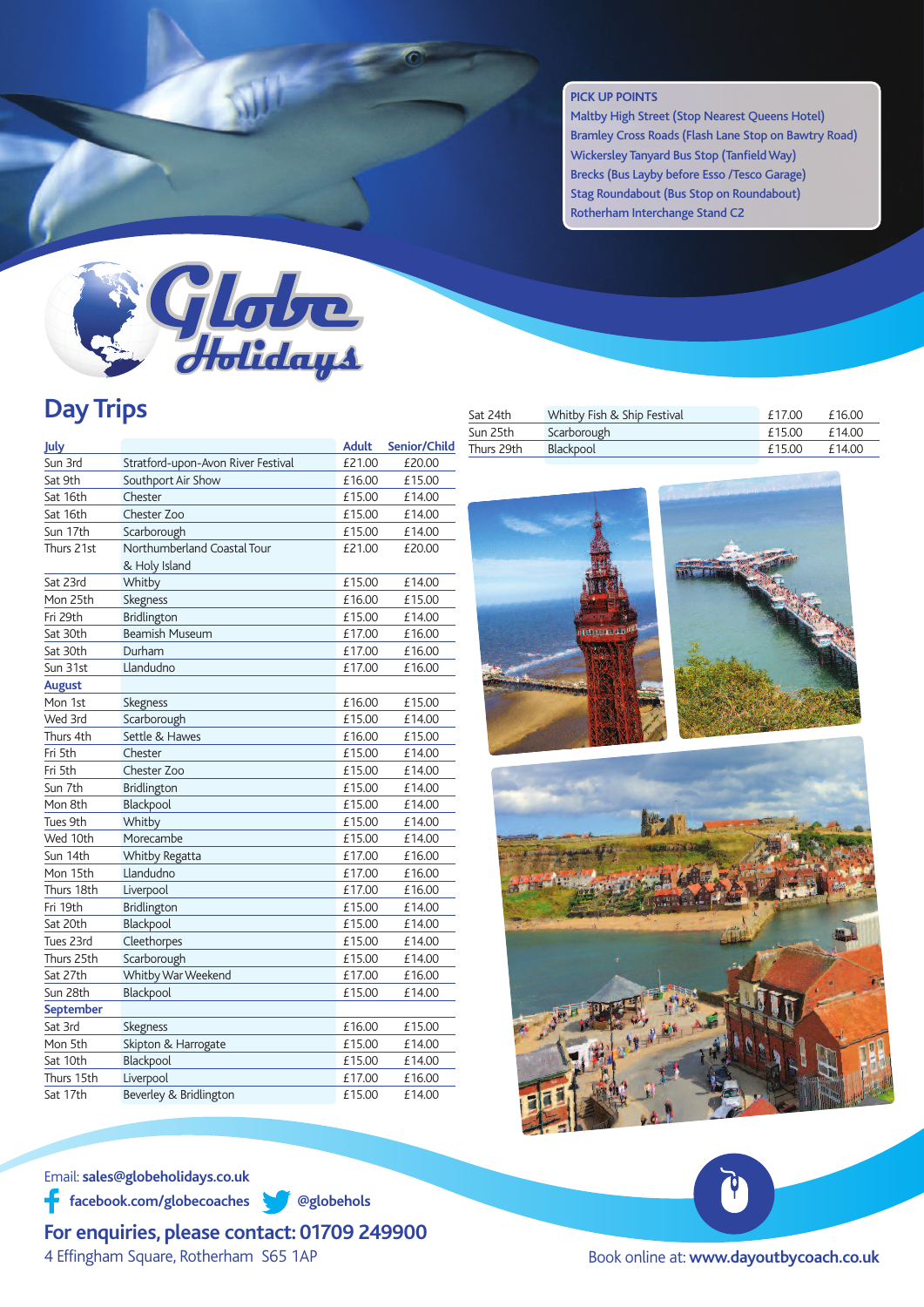## **PICK UP POINTS**

Maltby High Street (Stop Nearest Queens Hotel) Bramley Cross Roads (Flash Lane Stop on Bawtry Road) Wickersley Tanyard Bus Stop (Tanfield Way) Brecks (Bus Layby before Esso /Tesco Garage) Stag Roundabout (Bus Stop on Roundabout) Rotherham Interchange Stand C2



## **Day Trips**

| July          |                                    | <b>Adult</b> | Senior/Child |
|---------------|------------------------------------|--------------|--------------|
| Sun 3rd       | Stratford-upon-Avon River Festival | £21.00       | £20.00       |
| Sat 9th       | Southport Air Show                 | £16.00       | £15.00       |
| Sat 16th      | Chester                            | £15.00       | £14.00       |
| Sat 16th      | Chester Zoo                        | £15.00       | £14.00       |
| Sun 17th      | Scarborough                        | £15.00       | £14.00       |
| Thurs 21st    | Northumberland Coastal Tour        | £21.00       | £20.00       |
|               | & Holy Island                      |              |              |
| Sat 23rd      | Whitby                             | £15.00       | £14.00       |
| Mon 25th      | Skegness                           | £16.00       | £15.00       |
| Fri 29th      | Bridlington                        | £15.00       | £14.00       |
| Sat 30th      | <b>Beamish Museum</b>              | £17.00       | £16.00       |
| Sat 30th      | Durham                             | £17.00       | £16.00       |
| Sun 31st      | Llandudno                          | £17.00       | £16.00       |
| <b>August</b> |                                    |              |              |
| Mon 1st       | Skegness                           | £16.00       | £15.00       |
| Wed 3rd       | Scarborough                        | £15.00       | £14.00       |
| Thurs 4th     | Settle & Hawes                     | £16.00       | £15.00       |
| Fri 5th       | Chester                            | £15.00       | £14.00       |
| Fri 5th       | Chester Zoo                        | £15.00       | £14.00       |
| Sun 7th       | Bridlington                        | £15.00       | £14.00       |
| Mon 8th       | Blackpool                          | £15.00       | £14.00       |
| Tues 9th      | Whitby                             | £15.00       | £14.00       |
| Wed 10th      | Morecambe                          | £15.00       | £14.00       |
| Sun 14th      | Whitby Regatta                     | £17.00       | £16.00       |
| Mon 15th      | Llandudno                          | £17.00       | £16.00       |
| Thurs 18th    | Liverpool                          | £17.00       | £16.00       |
| Fri 19th      | <b>Bridlington</b>                 | £15.00       | £14.00       |
| Sat 20th      | Blackpool                          | £15.00       | £14.00       |
| Tues 23rd     | Cleethorpes                        | £15.00       | £14.00       |
| Thurs 25th    | Scarborough                        | £15.00       | £14.00       |
| Sat 27th      | Whitby War Weekend                 | £17.00       | £16.00       |
| Sun 28th      | Blackpool                          | £15.00       | £14.00       |
| September     |                                    |              |              |
| Sat 3rd       | Skegness                           | £16.00       | £15.00       |
| Mon 5th       | Skipton & Harrogate                | £15.00       | £14.00       |
| Sat 10th      | Blackpool                          | £15.00       | £14.00       |
| Thurs 15th    | Liverpool                          | £17.00       | £16.00       |
| Sat 17th      | Beverley & Bridlington             | £15.00       | £14.00       |

| Sat 24th   | Whitby Fish & Ship Festival | £17.00 | £16.00 |
|------------|-----------------------------|--------|--------|
| Sun 25th   | Scarborough                 | £15.00 | £14.00 |
| Thurs 29th | Blackpool                   | £15.00 | £14.00 |
|            |                             |        |        |





Email: **sales@globeholidays.co.uk**

**facebook.com/globecoaches @globehols**

**For enquiries, please contact: 01709 249900** 4 Effingham Square, Rotherham S65 1AP